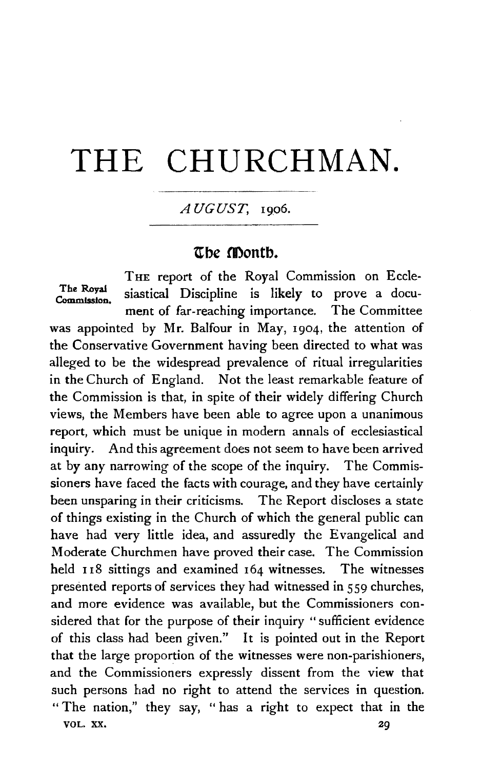# **THE** CHURCHMAN.

## $AUGUST, 1906.$

## **ttbe montb.**

THE report of the Royal Commission on Eccle-The Royal siastical Discipline is likely to prove a document of far-reaching importance. The Committee was appointed by Mr. Balfour in May, 1904, the attention of the Conservative Government having been directed to what was alleged to be the widespread prevalence of ritual irregularities in the Church of England. Not the least remarkable feature of the Commission is that, in spite of their widely differing Church views, the Members have been able to agree upon a unanimous report, which must be unique in modern annals of ecclesiastical inquiry. And this agreement does not seem to have been arrived at by any narrowing of the scope of the inquiry. The Commissioners have faced the facts with courage, and they have certainly been unsparing in their criticisms. The Report discloses a state of things existing in the Church of which the general public can have had very little idea, and assuredly the Evangelical and Moderate Churchmen have proved their case. The Commission held 118 sittings and examined 164 witnesses. The witnesses presented reports of services they had witnessed in 559 churches, and more evidence was available, but the Commissioners considered that for the purpose of their inquiry "sufficient evidence of this class had been given." It is pointed out in the Report that the large proportion of the witnesses were non-parishioners, and the Commissioners expressly dissent from the view that such persons had no right to attend the services in question. " The nation," they say, " has a right to expect that in the VOL. XX, 29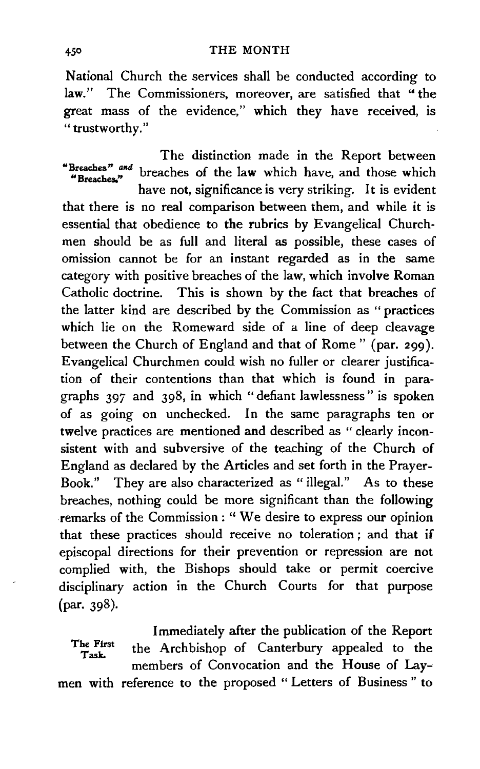National Church the services shall be conducted according to law." The Commissioners, moreover, are satisfied that "the great mass of the evidence," which they have received, is "trustworthy."

The distinction made in the Report between "Breaches"  $\lim_{n \to \infty}$  breaches of the law which have, and those which

have not, significance is very striking. It is evident that there is no real comparison between them, and while it is essential that obedience to the rubrics by Evangelical Churchmen should be as full and literal as possible, these cases of omission cannot be for an instant regarded as in the same category with positive breaches of the law, which involve Roman Catholic doctrine. This is shown by the fact that breaches of the latter kind are described by the Commission as " practices which lie on the Romeward side of a line of deep cleavage between the Church of England and that of Rome" (par. 299). Evangelical Churchmen could wish no fuller or clearer justification of their contentions than that which is found in paragraphs 397 and 398, in which "defiant lawlessness" is spoken of as going on unchecked. In the same paragraphs ten or twelve practices are mentioned and described as " clearly inconsistent with and subversive of the teaching of the Church of England as declared by the Articles and set forth in the Prayer-Book." They are also characterized as "illegal." As to these breaches, nothing could be more significant than the following remarks of the Commission : '' We desire to express our opinion that these practices should receive no toleration *;* and that if episcopal directions for their prevention or repression are not complied with, the Bishops should take or permit coercive disciplinary action in the Church Courts for that purpose (par. 398).

The First Task. men with reference to the proposed "Letters of Business" to Immediately after the publication of the Report the Archbishop of Canterbury appealed to the members of Convocation and the House of Lay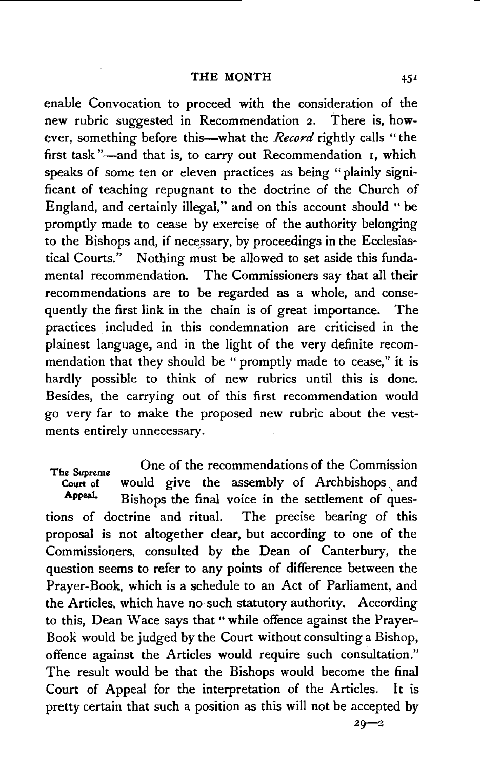enable Convocation to proceed with the consideration of the new rubric suggested in Recommendation 2. There is, however, something before this—what the *Record* rightly calls "the first task "-- and that is, to carry out Recommendation 1, which speaks of some ten or eleven practices as being " plainly significant of teaching repugnant to the doctrine of the Church of England, and certainly illegal," and on this account should "be promptly made to cease by exercise of the authority belonging to the Bishops and, if necessary, by proceedings in the Ecclesiastical Courts." Nothing must be allowed to set aside this fundamental recommendation. The Commissioners say that all their recommendations are to be regarded as a whole, and consequently the first link in the chain is of great importance. The practices included in this condemnation are criticised in the plainest language, and in the light of the very definite recommendation that they should be " promptly made to cease," it is hardly possible to think of new rubrics until this is done. Besides, the carrying out of this first recommendation would go very far to make the proposed new rubric about the vestments entirely unnecessary.

The Supreme<br>Court of would give the assembly of Archbishops and Court of would give the assembly of Archbishops and<br>Appeal. Bishops the first union in the actionrant of gues Bishops the final voice in the settlement of questions of doctrine and ritual. The precise bearing of this proposal is not altogether clear, but according to one of the Commissioners, consulted by the Dean of Canterbury, the question seems to refer to any points of difference between the Prayer-Book, which is a schedule to an Act of Parliament, and the Articles, which have no· such statutory authority. According to this, Dean Wace says that " while offence against the Prayer-BooR would be judged by the Court without consulting a Bishop, offence against the Articles would require such consultation." The result would be that the Bishops would become the final Court of Appeal for the interpretation of the Articles. It is pretty certain that such a position as this will not be accepted by

 $20 - 2$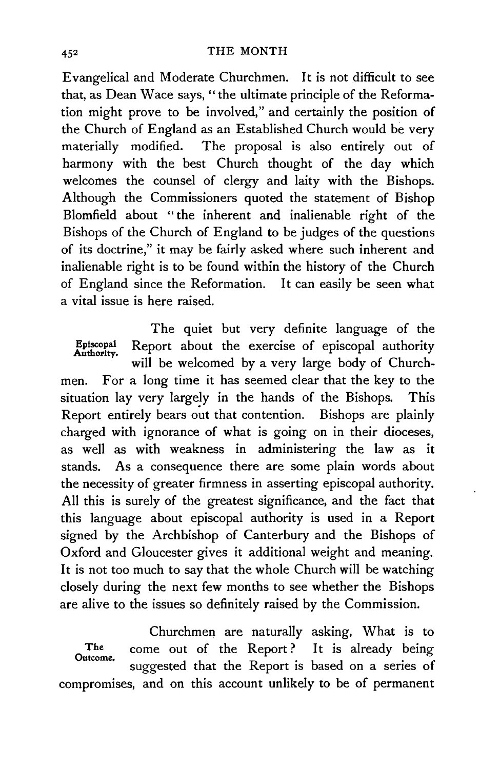### 452 THE MONTH

Evangelical and Moderate Churchmen. It is not difficult to see that, as Dean Wace says, "the ultimate principle of the Reformation might prove to be involved," and certainly the position of the Church of England as an Established Church would be very materially modified. The proposal is also entirely out of harmony with the best Church thought of the day which welcomes the counsel of clergy and laity with the Bishops. Although the Commissioners quoted the statement of Bishop Blomfield about " the inherent and inalienable right of the Bishops of the Church of England to be judges of the questions of its doctrine," it may be fairly asked where such inherent and inalienable right is to be found within the history of the Church of England since the Reformation. It can easily be seen what a vital issue is here raised.

The quiet but very definite language of the Episcopal Report about the exercise of episcopal authority Authority. will be welcomed by a very large body of Churchmen. For a long time it has seemed clear that the key to the situation lay very largely in the hands of the Bishops. This Report entirely bears out that contention. Bishops are plainly charged with ignorance of what is going on in their dioceses, as well as with weakness in administering the law as it stands. As a consequence there are some plain words about the necessity of greater firmness in asserting episcopal authority. All this is surely of the greatest significance, and the fact that this language about episcopal authority is used in a Report signed by the Archbishop of Canterbury and the Bishops of Oxford and Gloucester gives it additional weight and meaning. It is not too much to say that the whole Church will be watching closely during the next few months to see whether the Bishops are alive to the issues so definitely raised by the Commission.

Churchmen are naturally asking, What is to The come out of the Report? It is already being outcome. suggested that the Report is based on a series of compromises, and on this account unlikely to be of permanent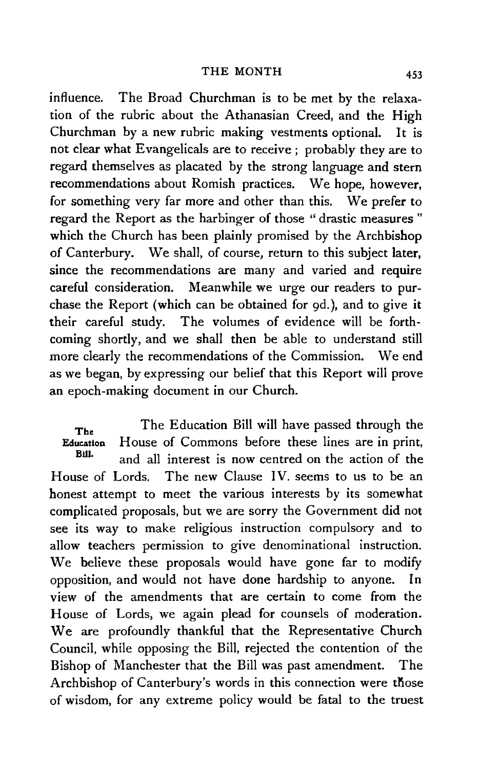### THE MONTH 453

influence. The Broad Churchman is to be met by the relaxation of the rubric about the Athanasian Creed, and the High Churchman by a new rubric making vestments optional. It is not clear what Evangelicals are to receive; probably they are to regard themselves as placated by the strong language and stern recommendations about Romish practices. We hope, however, for something very far more and other than this. We prefer to regard the Report as the harbinger of those " drastic measures " which the Church has been plainly promised by the Archbishop of Canterbury. We shall, of course, return to this subject later, since the recommendations are many and varied and require careful consideration. Meanwhile we urge our readers to purchase the Report (which can be obtained for gd.), and to give it their careful study. The volumes of evidence will be forthcoming shortly, and we shall then be able to understand still more clearly the recommendations of the Commission. We end as we began, by expressing our belief that this Report will prove an epoch-making document in our Church.

The Education Bill. House of Lords. The Education Bill will have passed through the House of Commons before these lines are in print, and all interest is now centred on the action of the The new Clause IV. seems to us to be an honest attempt to meet the various interests by its somewhat complicated proposals, but we are sorry the Government did not see its way to make religious instruction compulsory and to allow teachers permission to give denominational instruction. We believe these proposals would have gone far to modify opposition, and would not have done hardship to anyone. In view of the amendments that are certain to come from the House of Lords, we again plead for counsels of moderation. We are profoundly thankful that the Representative Church Council, while opposing the Bill, rejected the contention of the Bishop of Manchester that the Bill was past amendment. The Archbishop of Canterbury's words in this connection were those of wisdom, for any extreme policy would be fatal to the truest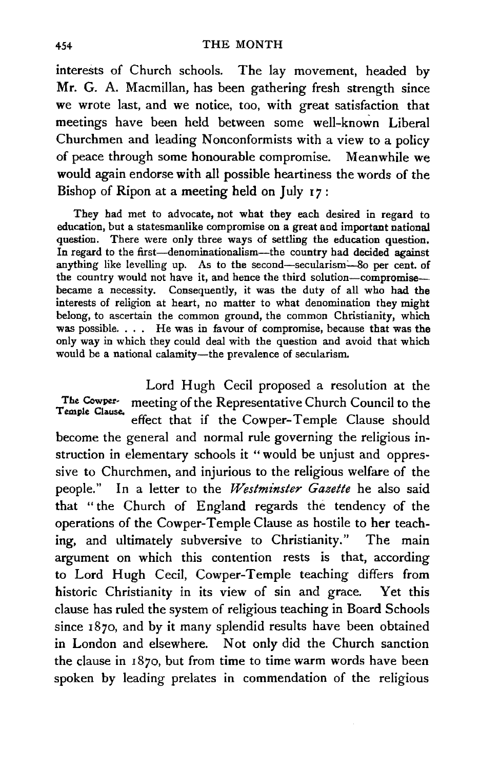interests of Church schools. The lay movement, headed by Mr. G. A. Macmillan, has been gathering fresh strength since we wrote last, and we notice, too, with great satisfaction that meetings have been held between some well-known Liberal Churchmen and leading Nonconformists with a view to a policy of peace through some honourable compromise. Meanwhile we would again endorse with all possible heartiness the words of the Bishop of Ripon at a meeting held on July  $17$ :

They had met to advocate, not what they each desired in regard to education, but a statesmanlike compromise on a great and important national question. There were only three ways of settling the education question. In regard to the first-denominationalism-the country had decided against anything like levelling up. As to the second-secularism-80 per cent. of the country would not have it, and hence the third solution-compromisebecame a necessity. Consequently, it was the duty of all who had the interests of religion at heart, no matter to what denomination they might belong, to ascertain the common ground, the common Christianity, which was possible. . . . He was in favour of compromise, because that was the only way in which they could deal with the question and avoid that which would be a national calamity-the prevalence of secularism.

Lord Hugh Cecil proposed a resolution at the The Cowper- meeting of the Representative Church Council to the Temple Clause. effect that if the Cowper-Temple Clause should become the general and normal rule governing the religious instruction in elementary schools it "would be unjust and oppressive to Churchmen, and injurious to the religious welfare of the people." In a letter to the *Westminster Gazette* he also said that "the Church of England regards the tendency of the operations of the Cowper-Temple Clause as hostile to her teaching, and ultimately subversive to Christianity." The main argument on which this contention rests is that, according to Lord Hugh Cecil, Cowper-Temple teaching differs from historic Christianity in its view of sin and grace. Yet this clause has ruled the system of religious teaching in Board Schools since 1870, and by it many splendid results have been obtained in London and elsewhere. Not only did the Church sanction the clause in I 870, but from time to time warm words have been spoken by leading prelates in commendation of the religious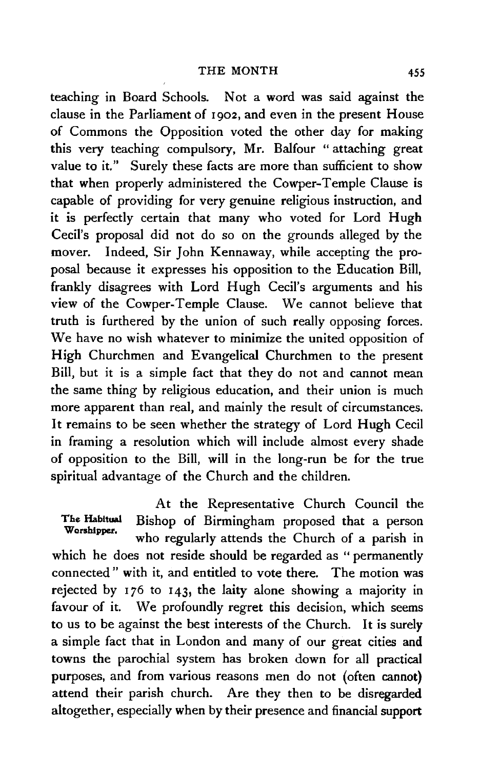teaching in Board Schools. Not a word was said against the clause in the Parliament of 1902, and even in the present House of Commons the Opposition voted the other day for making this very teaching compulsory, Mr. Balfour " attaching great value to it." Surely these facts are more than sufficient to show that when properly administered the Cowper-Temple Clause is capable of providing for very genuine religious instruction, and it is perfectly certain that many who voted for Lord Hugh Cecil's proposal did not do so on the grounds alleged by the mover. Indeed, Sir John Kennaway, while accepting the proposal because it expresses his opposition to the Education Bill, frankly disagrees with Lord Hugh Cecil's arguments and his view of the Cowper-Temple Clause. We cannot believe that truth is furthered by the union of such really opposing forces. We have no wish whatever to minimize the united opposition of High Churchmen and Evangelical Churchmen to the present Bill, but it is a simple fact that they do not and cannot mean the same thing by religious education, and their union is much more apparent than real, and mainly the result of circumstances. It remains to be seen whether the strategy of Lord Hugh Cecil in framing a resolution which will include almost every shade of opposition to the Bill, will in the long-run be for the true spiritual advantage of the Church and the children.

At the Representative Church Council the<br>Bishop of Birmingham proposed that a person The Habitual Bishop of Birmingham proposed that a person Worshipper. who regularly attends the Church of a parish in which he does not reside should be regarded as " permanently connected " with it, and entitled to vote there. The motion was rejected by 176 to 143, the laity alone showing a majority in favour of it. We profoundly regret this decision, which seems to us to be against the best interests of the Church. It is surely a simple fact that in London and many of our great cities and towns the parochial system has broken down for all practical purposes, and from various reasons men do not (often cannot) attend their parish church. Are they then to be disregarded altogether, especially when by their presence and financial support